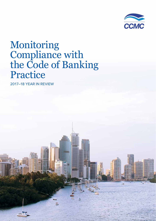

2017–18 YEAR IN REVIEW **1**

# Monitoring Compliance with the Code of Banking Practice

2017–18 YEAR IN REVIEW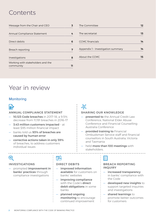# **Contents**

| Message from the Chair and CEO                 | 3  | The Committee                      | 12 |
|------------------------------------------------|----|------------------------------------|----|
| Annual Compliance Statement                    | 4  | The secretariat                    | 13 |
| Direct debits                                  | 6  | <b>CCMC</b> financials             | 14 |
| Breach reporting                               | 7  | Appendix 1 - Investigation summary | 14 |
| Investigations                                 | 8  | About the CCMC                     | 15 |
| Working with stakeholders and the<br>community | 11 |                                    |    |

# Year in review

# **Monitoring**



# ANNUAL COMPLIANCE STATEMENT

- 10,123 Code breaches in 2017–18, a 9.5% decrease from 11,191 breaches in 2016–17
- 3.43 million customers impacted at least \$95 million financial impact
- banks told us 93% of breaches are caused by human error
- corrective actions taken in only 39% of breaches, to address customers individual issues

# ൶

### SHARING OUR KNOWLEDGE

- **presented to** the Annual Credit Law Conference, National Elder Abuse Conference and Financial Counselling Australia Conference
- provided training to Financial Ombudsman Service staff and financial counsellors in South Australia, Victoria and Tasmania
- held more than 100 meetings with stakeholders.

# ◎

### INVESTIGATIONS

- prompted improvement in banks' practices through compliance investigations

# 异

# DIRECT DEBITS

- improved information available for customers on banks' websites
- improving compliance with the Code's **direct** debit obligations in some banks
- planned ongoing monitoring to encourage continued improvement

# Ħ

### BREACH REPORTING INQUIRY

- increased transparency in banks' compliance with the Code
- developed new insights to support targeted inquiries and investigations
- shared learnings to promote better outcomes for customers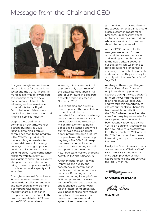# Message from the Chair and CEO



This year brought more change and challenges for the banking sector and the CCMC. In 2017–18 we faced a formidable workload as preparations for the new Banking Code of Practice hit full swing and we were invited to contribute to the Royal Commission into Misconduct in the Banking, Superannuation and Financial Services Industry.

Despite these additional demands on our time, we kept a strong business-as-usual focus. Maintaining a robust compliance monitoring program is the CCMC's top priority. To that end, this year we devoted substantial time to improving our ways of working, improving our data collection strategy and building on our Code compliance risk framework to inform our investigations and inquiries. We've also prioritised recruitment to bring in new compliance analysts to bolster our work capacity and expertise.

Through our Annual Compliance Statement we've implemented our new data collection strategy and have been able to examine a comprehensive data set that better articulates banks' compliance with the Code. In the past we have detailed ACS results in the CCMC's annual report.

However, this year we decided to present only a summary of the data, setting out banks' full end-of-year results in a separate, dedicated report released in November 2018.

Due to ongoing and systemic noncompliance, the cancellation of direct debits has been a consistent focus of our monitoring program over a number of years. We are determined to oversee major improvement to banks' direct debit practices, and while our renewed focus on direct debits prompted some progress this year, banks still have a long way to go. The CCMC will keep the pressure on banks to do better on direct debits, and will be reporting on the results of a new large-scale mystery shopping activity in the first half of 2019.

Another focus for 2017–18 was improving the quality and consistency in the way banks identify, record and report Code breaches. Reporting on our breach reporting inquiry in June 2018, we presented a clearer picture of banks' Code breaches and identified a way forward for their monitoring processes. We expect banks to have robust compliance frameworks that review staff, processes and systems to ensure errors do not

go unnoticed. The CCMC also set the expectation that banks should assess customer impact for all breaches. Breaches that affect customers must be corrected and where appropriate, the customer should be compensated.

As the CCMC prepares for the new year, we remain focused on providing robust monitoring and leading a smooth transition to the new Code. As set out in our Strategic Plan, we intend to develop guidance for banks to encourage a consistent approach and ensure that they are ready to comply with the new Code from 1 July 2019.

As always, I thank my colleagues Gordon Renouf and Sharon Projekt for their support and expertise during the year. Sharon's term on the Committee came to an end on 26 October 2018 and we take this opportunity to express our thanks to Sharon for her invaluable contribution to the CCMC where she fulfilled the role of Industry Representative for over 6 years. Anne O'Donnell has been recently appointed by the Australian Banking Association as the new Industry Representative for a three-year term. Welcome to the CCMC Anne, we look forward to working with you in the years to come.

Finally, the Committee also thank our secretariat staff led by Chief Executive, Sally Davis, who has once again provided us with expert guidance and support over the last 12 months.

*Christopher Doogan AM*

Hally Davis

*Sally Davi***s**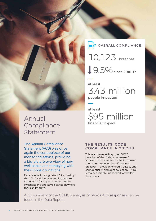

The Annual Compliance Statement (ACS) was once again the centrepiece of our monitoring efforts, providing a big-picture overview of how well banks are complying with their Code obligations.

Data received through the ACS is used by the CCMC to identify emerging risks, set its priorities for inquiries and in-depthinvestigations, and advise banks on where they can improve.

OVERALL COMPLIANCE

 9.5% since 2016–17 10,123 breaches

at least 3.43 million people impacted

at least \$95 million financial impact

# THE RESULTS: CODE COMPLIANCE IN 2017–18

This year, banks self-reported 10,123 breaches of the Code, a decrease of approximately 9.5% from 11,191 in 2016–17. The main categories for self-reported breaches – [provision of credit, privacy and confidentiality, and debt collection] – have remained largely unchanged for the last three years.

A full summary of the CCMC's analysis of bank's ACS responses can be found in the Data Report.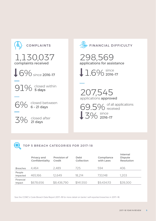



TOP 5 BREACH CATEGORIES FOR 2017-18

|                     | Privacy and<br>Confidentiality | Provision of<br>Credit | Debt<br>Collection | Compliance<br>with Laws | Internal<br><b>Dispute</b><br>Resolution |
|---------------------|--------------------------------|------------------------|--------------------|-------------------------|------------------------------------------|
| <b>Breaches</b>     | 4.464                          | 2.489                  | 725                | 594                     | 406                                      |
| People<br>Impacted  | 465.166                        | 12.649                 | 18.214             | 733.148                 | 1.203                                    |
| Financial<br>Impact | \$678.656                      | \$8,436,790            | \$141,550          | \$9,434,113             | \$39,300                                 |

See the CCMC's Code Breach Data Report 2017–18 for more detail on banks' self-reported breaches in 2017–18.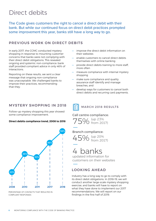# Direct debits

The Code gives customers the right to cancel a direct debit with their bank. But while our continued focus on direct debit practices prompted some improvement this year, banks still have a long way to go.

# PREVIOUS WORK ON DIRECT DEBITS

In early 2017, the CCMC conducted mystery shopping in response to mounting customer concerns that banks were not complying with their direct debit obligations. This revealed ongoing and systemic non-compliance: bank staff provided compliant advice in only 46% of interactions.

Reporting on these results, we sent a clear message that ongoing non-compliance was unacceptable. We challenged banks to improve their practices, recommending that they:

# MYSTERY SHOPPING IN 2018

Follow-up mystery shopping this year showed some compliance improvement.

### **Direct debits compliance trend, 2008 to 2018**



PERCENTAGE OF CONTACTS THAT RESULTED IN COMPLAINT RESPONSES

- improve the direct debit information on their websites
- enable customers to cancel direct debits themselves with online banking
- provide direct debits training to more staff, more often
- measure compliance with internal mystery shopping
- make sure compliance and quality assurance staff identify and manage breaches, and
- develop ways for customers to cancel both direct debits and recurring card payments.



MARCH 2018 RESULTS

### Call centre compliance:



### Branch compliance:



# 4 banks

updated information for customers on their websites

# LOOKING AHEAD

Industry has a long way to go to comply with its direct debit obligations. In 2018–19, we will conduct another large-scale mystery shopping exercise, and banks will have to report on what they have done to implement our 2017 recommendations. We will report on our findings in the first half of 2019.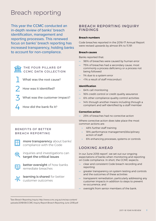# Breach reporting

This year the CCMC conducted an in-depth review of banks' breach identification, management and reporting processes. This renewed focus on banks' breach reporting has increased transparency, holding banks to account for non-compliance.



1

### THE FOUR PILLARS OF CCMC DATA COLLECTION

- What was the root cause?
- How was it identified? 2
- What was the customer impact? 3
- How did the bank fix it? 4

# BENEFITS OF BETTER BREACH REPORTING



more transparency about banks' compliance with the Code



inquiries and investigations can target the critical issues



better oversight of how banks remediate breaches



learning is shared for better customer outcomes

# BREACH REPORTING INQUIRY FINDINGS

### **Breach numbers**

Code breaches reported in the 2016–17 Annual Report were revised upwards by almost 8% to 11,191

#### **Breach causes**

Banks reported that:

- 98% of breaches were caused by human error
- 75% of breaches had a secondary cause, most commonly a process deficiency or a process not being followed
- 1% due to a system error
- <1% a result of staff misconduct

#### **Identification**

- 64% call monitoring
- 16% credit control or credit quality assurance
- 6% other compliance quality control activities
- 14% through another means including through a compliant and self-identified by a staff member

#### **Corrective action**

— 25% of breaches had no corrective action

Where corrective action does take place the most common actions are:

- » 48% further staff training
- » 18% performance management/disciplinary action of staff
- » 6% enhancing processes, systems or controls

# LOOKING AHEAD

In our June 2018 report<sup>1</sup>, we set out our ongoing expectations of banks when monitoring and reporting on Code compliance. In short, the CCMC expects:

- clear and consistent Code breach recording and reporting
- greater transparency on system testing and controls and the outcomes of these activities
- transparent remediation, particularly addressing any customer impacts in addition to steps to prevent re-occurrence, and
- oversight from senior members of the bank.

<sup>&</sup>lt;sup>1</sup>See Breach Reporting Inquiry http://www.ccmc.org.au/cms/wp-content/ uploads/2018/06/CCMC-Inquiry-Report-Breach-Reporting-June-2018.pdf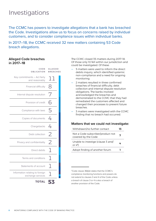# Investigations

The CCMC has powers to investigate allegations that a bank has breached the Code. Investigations allow us to focus on concerns raised by individual customers, and to consider compliance issues within individual banks.

In 2017–18, the CCMC received 32 new matters containing 53 Code breach allegations.

### **Alleged Code breaches in 2017–18**

| <b>TOTAL</b>                                         |                                   |  |
|------------------------------------------------------|-----------------------------------|--|
| Information relating to foreign<br>exchange services |                                   |  |
| Statements of account                                |                                   |  |
| Terms and conditions                                 |                                   |  |
| Direct debits                                        |                                   |  |
| Privacy and confidentiality                          | 2                                 |  |
| Debt collection                                      | 2                                 |  |
| Chargebacks                                          | 4                                 |  |
| Copies of documents                                  | 4                                 |  |
| Compliance with laws                                 | 5                                 |  |
| Provision of credit                                  | 6                                 |  |
| Internal dispute resolution                          | 7                                 |  |
| Financial difficulty                                 | 8                                 |  |
| Key commitments - Act fairly<br>and reasonably       | $\pm\pm$                          |  |
| CODE<br>OBLICATION                                   | <b>ALLEGED</b><br><b>BREACHES</b> |  |

The CCMC closed 35 matters during 2017–18. Of those only 10 fell within our jurisdiction and could be investigated. Of these:

- 5 matters were used to inform the direct debits inquiry, which identified systemic non-compliance and a need for ongoing monitoring.
- 2 matters resulted in three confirmed breaches of financial difficulty, debt collection and internal dispute resolution obligations. The banks involved acknowledged the breaches and demonstrated to the CCMC that they had remediated the customers affected and changed their processes to prevent future breaches.
- 3 matters were investigated with the CCMC finding that no breach had occurred.

# **Matters that we could not investigate:**

| Withdrawn/no further contact                             | 13 |
|----------------------------------------------------------|----|
| Not a Code-subscriber/product not<br>covered by the Code | 7  |
| Unable to investige (clause 3 and/<br>or $4^2$ )         | 4  |
| Adopt finding of another forum                           |    |

<sup>2</sup>Code clause 36(b)iii states that the CCMC's compliance monitoring functions and powers do not extend to clauses 3 and 4 of the Code unless a breach of clause 3 or 4 is also a breach of another provision of the Code.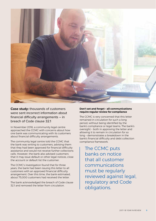

**Case study:** thousands of customers were sent incorrect information about financial difficulty arrangements – in breach of Code clause 32.1

In November 2016, a community legal centre approached the CCMC with concerns about how one bank was communicating with its customers about financial difficulty arrangements.

The community legal centre told the CCMC that the bank was writing to customers, advising them that they had been approved for financial difficulty assistance and would not receive further collections calls. However, the bank also advised customers that it may issue default or other legal notices, close the account or default list the customer.

The CCMC's investigation found that for three years, the bank had been issuing this letter to all customers with an approved financial difficulty arrangement. Over this time, the bank estimated, about 75,000 customers had received the letter.

The bank acknowledged the breach of Code clause 32.1 and removed the letter from circulation.

#### **Don't set and forget – all communications require regular review for compliance**

The CCMC is very concerned that this letter remained in circulation for such a long period, without being identified by the bank's compliance or legal teams. The bank's oversight – both in approving the letter and allowing it to remain in circulation for so long – demonstrates a breakdown in the bank's financial difficulty and debt collection compliance framework.

The CCMC puts banks on notice that all customer communications must be regularly reviewed against legal, regulatory and Code obligations.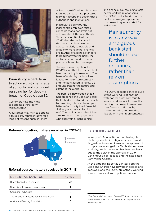

**Case study:** a bank failed to act on a customer's letter of authority, and continued pursuing her for debt – in breach of Code clause 32.1

Customers have the right to appoint a third-party representative

A customer may wish to appoint a third-party representative for a range of reasons, such as illness

or language difficulties. The Code requires banks to have processes to swiftly accept and act on those authorities and instructions.

In late 2016 a community legal centre employee raised concerns that a bank was not acting on her letter of authority. The representative told the CCMC that she had advised the bank that the customer was particularly vulnerable and unable to manage her financial affairs. After providing a standard form authority to the bank, the customer continued to receive phone calls and text messages.

Through its investigation, the CCMC found that the breach had been caused by human error. The letter of authority had not been loaded to the system correctly, and the bank failed to follow-up and understand the nature and extent of the authority.

The bank acknowledged that it had breached the Code, and said that it had remediated the breach by providing refresher training on letters of authority to all financial difficulty and debt collection staff. The bank advised that it had also improved its engagement with community legal centres

and financial counsellors to foster better working relationships. The CCMC understands that the bank now assigns represented customers to specialist staff for assistance.

> If an authority is in any way ambiguous bank staff should make further enquiries, rather than rely on assumptions.

The CCMC expects banks to build strong working relationships with not-for-profit community lawyers and financial counsellors, helping customers to overcome their financial difficulty by communicating and working flexibly with their representatives.

# **Referrer's location, matters received in 2017–18**



### **Referral source, matters received in 2017–18**

| REFERRAL SOURCE                                    | NUMBER |
|----------------------------------------------------|--------|
| Direct (individual customer)                       | 28     |
| Direct (small business customer)                   | 1      |
| Consumer advocate                                  | 2      |
| The Financial Ombudsman Service (FOS) <sup>3</sup> |        |
| Australian Banking Association                     |        |

# LOOKING AHEAD

In last year's Annual Report, we highlighted challenges in the investigations process and flagged our intention to revise the approach to compliance investigations. While this remains a priority, implementation has been set back due to the delay in the approval of 2019 Banking Code of Practice and the associated Committee Charter.

At the time this Report is printed, both the Code and Charter have now been settled and approved, and the CCMC are actively working toward its revised investigations process.

<sup>3</sup> The Financial Ombudsman Service (FOS) was replaced by the Australian Financial Complaints Authority (AFCA) on 1 November 2018.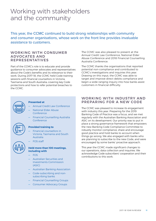# Working with stakeholders and the community

This year, the CCMC continued to build strong relationships with community and consumer organisations, whose work on the front line provides invaluable assistance to customers.

### WORKING WITH CONSUMER ADVOCATES AND REPRESENTATIVES

Part of the CCMC's role is to educate and provide guidance to consumer advocates and representatives about the Code's benefits and its relevance to their work. During 2017–18, the CCMC held Code training sessions with financial counsellors in Victoria, Tasmania and South Australia; covering key Code protections and how to refer potential breaches to the CCMC.



#### **Presented at**

- Annual Credit Law Conference
- National Elder Abuse Conference
- Financial Counselling Australia Conference



#### **Provided training to**

- Financial counsellors in Victoria, Tasmania and South Australia
- FOS staff

#### **Held more than 100 meetings, including with**

- FOS
- Australian Securities and Investments Commission (ASIC)
- Australian Banking Association
- Code-subscribing and nonsubscribing banks
- Financial Counselling Groups
- Consumer Advocacy Groups

The CCMC was also pleased to present at the Annual Credit Law Conference, National Elder Abuse Conference and 2018 Financial Counselling Australia Conference.

The CCMC thanks the organisations that reported potential non-compliance and contributed to CCMC's investigations and inquiries this year. Drawing on this input, the CCMC was able to target and improve direct debits compliance and begin a wide-ranging inquiry into how banks assist customers in financial difficulty.

# WORKING WITH INDUSTRY AND PREPARING FOR A NEW CODE

The CCMC was pleased to increase its engagement with industry this year. Preparing for the 2019 Banking Code of Practice was a focus, and we met regularly with the Australian Banking Association and ASIC on its development. Our priority was to put in place a strong governance framework that empowers the new Banking Code Compliance Committee to robustly monitor compliance, share and encourage good practice and hold banks to account when things go wrong. We also engaged with banks who are planning to subscribe to the new Code, and were encouraged by some banks' proactive approach.

This year the CCMC made significant changes to our operations, data collection and inquiries. We acknowledge Code subscribers' cooperation and their contributions to this work.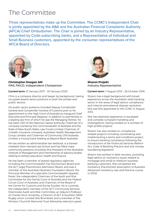# The Committee

Three representatives make up the Committee. The CCMC's Independent Chair is jointly appointed by the ABA and the Australian Financial Complaints Authority (AFCA) Chief Ombudsman. The Chair is joined by an Industry Representative, appointed by Code-subscribing banks, and a Representative of Individual and Small Business customers, appointed by the consumer representatives of the AFCA Board of Directors.



**Christopher Doogan AM** *FIML FAICD, Independent Chairperson*

Current term: 31 January 2017 – 30 January 2020

Chris is a company director and lawyer by background, having occupied several senior positions in both the private and public sectors.

His public sector positions included Deputy Comptroller-General and Comptroller-General of Customs prior to his appointment to the High Court of Australia as inaugural Chief Executive and Principal Registrar. In addition to partnership in a leading law firm of which he was the Managing Partner, he has been CEO of the National Capital Authority; Chairman of a company owned by the Commonwealth of Australia and the State of New South Wales, Law Courts Limited; Chairman of a health insurance company, Australian Health Management Group Limited; and Chairman of Community CPS Australia Limited, a mutual bank (trading as Beyond Bank Australia).

He has written an administrative law textbook, is a trained mediator from Harvard Law School and has filled many community positions including Vice President of the Australian Institute of Management and membership of advisory bodies relating to tertiary education, health and finance.

He has been a member of several regulatory agencies including the Commonwealth Tax Practitioners Board and the ACT Legal Practitioners Admission Board, and was a member of the Australian Business Foundation Board, the Principal Member of a specialist Commonwealth Appeals Panel, the independent Chairman of the Audit and Risk Committee for the Family Court of Australia and the Federal Circuit Court of Australia; and Chairman of the Board of the Centre for Customs and Excise Studies. He is currently the independent member of the ACT Community Services Directorate Audit and Risk Committee, an Adjunct Professor at Charles Sturt University, a Director of ACT & Southern NSW Rugby Union Limited (the Brumbies) and a member of The Winston Churchill Memorial Trust fellowship selection panel.



**Sharon Projekt**  *Industry Representative*

Current term: 7 August 2015 – 26 October 2018

Sharon has a legal background with broad experience across the Australian retail banking sector in the areas of legal advice, compliance, and internal and external dispute resolution. She was first appointed to the CCMC in August 2012.

She has extensive experience in escalated and complex complaint handling and investigations, having worked on a number of high-profile projects.

Sharon has also worked on compliancerelated projects including coordinating and implementing a terms and conditions project to ensure banking compliance following the introduction of the *Financial Services Reform Act,* Code of Banking Practice and anti-money laundering legislation.

Sharon has worked in debt recovery, providing legal advice on insolvency issues related to mortgage and small to medium business banking customers. She completed the Insolvency Practitioners Association of Australia Advanced Insolvency Law and Practice course in 2002.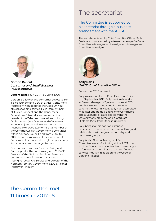

**Gordon Renouf**  *Consumer and Small Business Representative*

Current term: 1 July 2017 – 30 June 2020

Gordon is a lawyer and consumer advocate. He is a co-founder and CEO of Ethical Consumers Australia, which operates the Good On You ethical shopping service. He is Deputy Chair of Justice Connect and the Consumers' Federation of Australia and serves on the boards of the Telecommunications Industry Ombudsman (as a Director with Consumer Experience) and Good Environmental Choice Australia. He served two terms as a member of the Commonwealth Government's Consumer Affairs Advisory Council, and from 2007 to 2009 he was a member of the executive of Consumers International, the global peak body for national consumer organisations.

Gordon has worked as Director, Policy and Campaigns for the consumer group CHOICE, Director of the National Pro Bono Resource Centre, Director of the North Australian Aboriginal Legal Aid Service and Director of the Northern Territory Government's 2004 Alcohol Framework Inquiry.

# The secretariat

# The Committee is supported by a secretariat through a business arrangement with the AFCA.

The secretariat is led by Chief Executive Officer, Sally Davis, and is supported by a team made up of a Code Compliance Manager, an Investigations Manager and Compliance Analysts.



**Sally Davis**  *GAICD, Chief Executive Officer*

September 2015 – current

Sally was appointed as Chief Executive Officer on 1 September 2015. Sally previously worked as Senior Manager of Systemic Issues at FOS and has worked at FOS and its predecessor schemes for over 18 years. Sally is an accredited mediator and holds a Bachelor of Commerce and a Bachelor of Laws degree from the University of Melbourne and a Graduate Diploma (Arts) from Monash University.

Sally brings to this position extensive experience in financial services, as well as good relationships with regulators, industry and consumer groups.

Sally is also General Manager of Code Compliance and Monitoring at the AFCA. Her work as General Manager involves the oversight of four other codes of practice in the financial services industry in addition to the Code of Banking Practice.

# The Committee met 11 times in 2017-18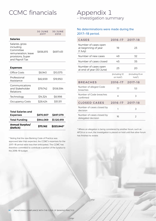# CCMC financials

|                                                                                                          | <b>30 JUNE</b><br>2017 | <b>30 JUNE</b><br>2018 |
|----------------------------------------------------------------------------------------------------------|------------------------|------------------------|
| <b>Salaries</b>                                                                                          |                        |                        |
| Salaries, gross<br>including<br>Committee<br>remuneration, leave<br>provisions, Super<br>and Payroll Tax | \$656,815              | \$697,451              |
| <b>Expenses</b>                                                                                          |                        |                        |
| Office Costs                                                                                             | \$8,943                | \$10.575               |
|                                                                                                          |                        |                        |
| Professional<br>Assistance                                                                               | \$82,659               | \$19,950               |
| Communications<br>and Stakeholder<br>Relations                                                           | \$79,742               | \$108,594              |
| Technology                                                                                               | \$14,324               | \$8,998                |
| <b>Occupancy Costs</b>                                                                                   | \$28,424               | \$51,511               |

| <b>Total Salaries and</b><br><b>Expenses</b> | \$870.907 | \$897,079   |
|----------------------------------------------|-----------|-------------|
| <b>Total Funding</b>                         | \$944.069 | \$1.120.919 |
| <b>Annual Surplus/</b><br>(Deficit)          | \$73.162  | \$223.840*  |

\* Noting that the new Banking Code of Practice was approved later than expected, the CCMC's expenses for the 2017–18 period were less than anticipated. The CCMC has therefore committed to contribute a portion of the surplus to the 2018–19 budget.

# Appendix 1<br>- Investigation summary

# No determinations were made during the 2017–18 period.

| <b>CASES</b>                                                  | 2016-17 2017-18            |                           |
|---------------------------------------------------------------|----------------------------|---------------------------|
| Number of cases open<br>at beginning of year<br>$(1$ July $)$ | 19                         | 23                        |
| Number of new cases                                           | 49                         | 32                        |
| Number of cases closed                                        | 45                         | 35                        |
| Number of cases open<br>at end of year (30 June)              | 23                         | 20                        |
|                                                               | (including 12<br>on hold*) | (including 8 on<br>hold*) |
|                                                               |                            |                           |
| <b>BREACHES</b>                                               | 2016-17                    | 2017-18                   |
| Number of alleged Code<br>breaches                            | 77                         | 53                        |
| Number of Code breaches<br>confirmed                          | 4                          | 3                         |
| <b>CLOSED CASES</b>                                           | 2016-17                    | 2017-18                   |
| Number of cases closed by<br>decision                         | 1                          | 3                         |

\* Where an allegation is being considered by another forum, such as AFCA or a court, the investigation is placed on hold until that other forum has finished its review.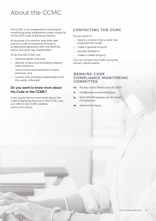# About the CCMC

The CCMC is an independent compliance monitoring body established under clause 36 of the 2013 Code of Banking Practice.

Its purpose is to monitor and drive best practice Code compliance, through a collaborative approach with the banking sector and other key stakeholders.

To do this the CCMC will:

- examine banks' practices
- identify current and emerging industry wide problems
- recommend improvements to bank practices, and
- consult with and keep stakeholders and the public informed.

### **Do you want to know more about the Code or the CCMC?**

If you would like to know more about the Code of Banking Practice or the CCMC, you can refer to the CCMC website www.ccmc.org.au

# CONTACTING THE CCMC

Do you want to:

- report a concern that a bank has breached the Code?
- make a general enquiry?
- provide feedback?
- make a media enquiry?

You can contact the CCMC using the contact details below.

### BANKING CODE COMPLIANCE MONITORING **COMMITTEE**

- m. PO Box 14240 Melbourne VIC 8001
- e. info@codecompliance.org.au
- p. 1800 931 678 (please ask for 'Code Compliance')
- w. www.ccmc.org.au